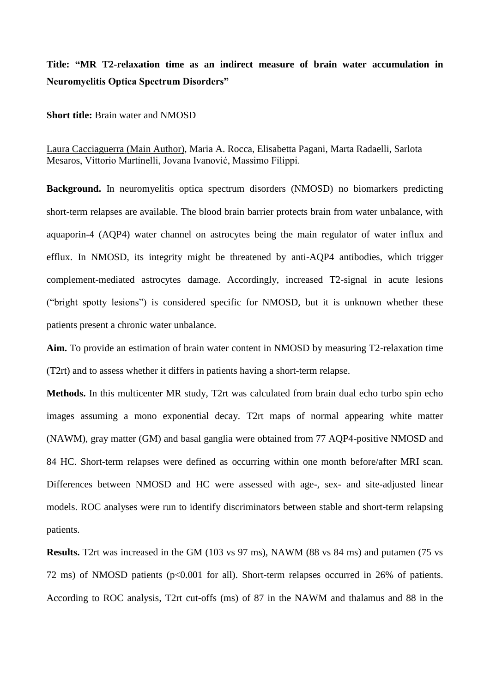## **Title: "MR T2-relaxation time as an indirect measure of brain water accumulation in Neuromyelitis Optica Spectrum Disorders"**

**Short title:** Brain water and NMOSD

Laura Cacciaguerra (Main Author), Maria A. Rocca, Elisabetta Pagani, Marta Radaelli, Sarlota Mesaros, Vittorio Martinelli, Jovana Ivanović, Massimo Filippi.

**Background.** In neuromyelitis optica spectrum disorders (NMOSD) no biomarkers predicting short-term relapses are available. The blood brain barrier protects brain from water unbalance, with aquaporin-4 (AQP4) water channel on astrocytes being the main regulator of water influx and efflux. In NMOSD, its integrity might be threatened by anti-AQP4 antibodies, which trigger complement-mediated astrocytes damage. Accordingly, increased T2-signal in acute lesions ("bright spotty lesions") is considered specific for NMOSD, but it is unknown whether these patients present a chronic water unbalance.

**Aim.** To provide an estimation of brain water content in NMOSD by measuring T2-relaxation time (T2rt) and to assess whether it differs in patients having a short-term relapse.

**Methods.** In this multicenter MR study, T2rt was calculated from brain dual echo turbo spin echo images assuming a mono exponential decay. T2rt maps of normal appearing white matter (NAWM), gray matter (GM) and basal ganglia were obtained from 77 AQP4-positive NMOSD and 84 HC. Short-term relapses were defined as occurring within one month before/after MRI scan. Differences between NMOSD and HC were assessed with age-, sex- and site-adjusted linear models. ROC analyses were run to identify discriminators between stable and short-term relapsing patients.

**Results.** T2rt was increased in the GM (103 vs 97 ms), NAWM (88 vs 84 ms) and putamen (75 vs 72 ms) of NMOSD patients (p<0.001 for all). Short-term relapses occurred in 26% of patients. According to ROC analysis, T2rt cut-offs (ms) of 87 in the NAWM and thalamus and 88 in the